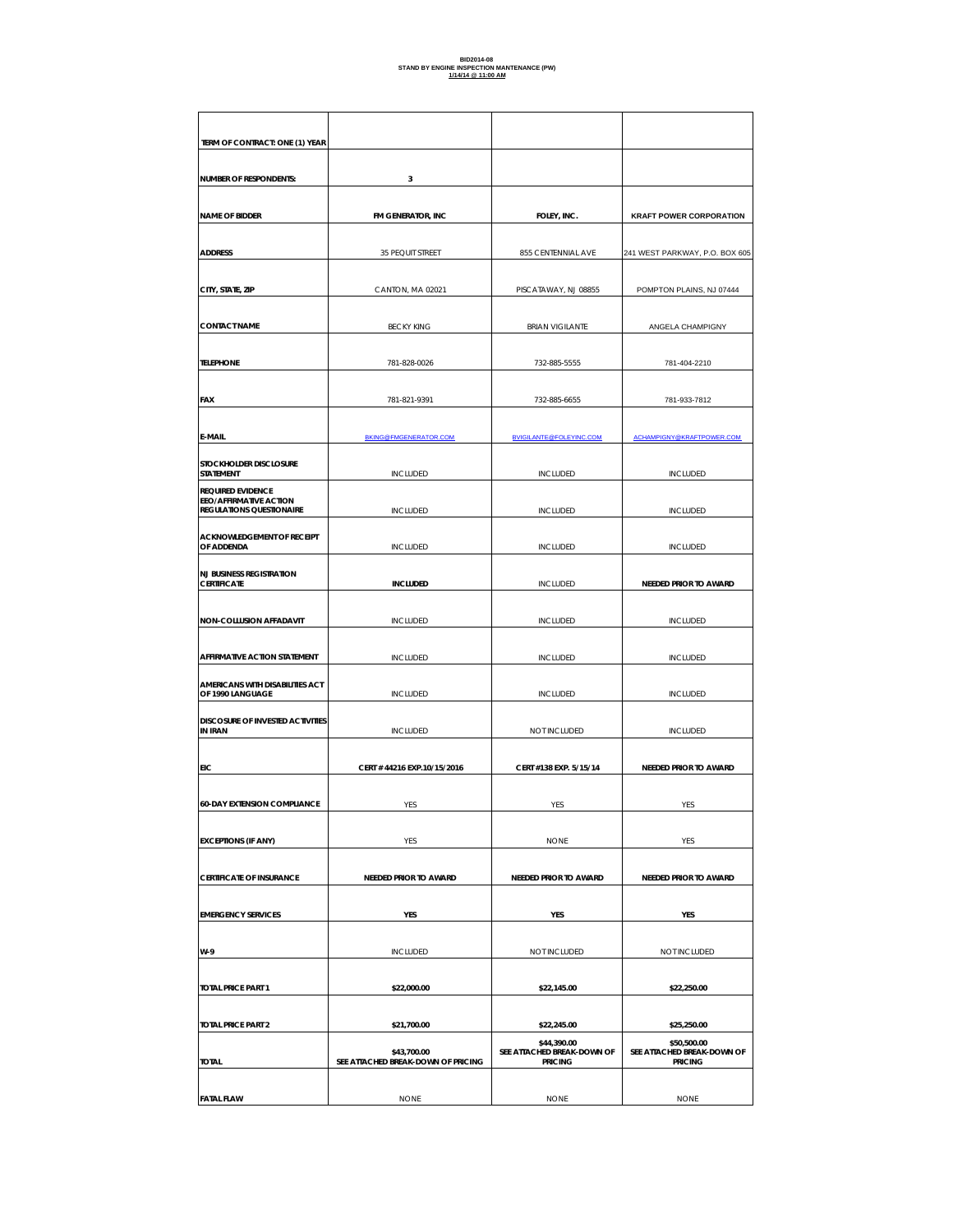# **BID2014-08 STAND BY ENGINE INSPECTION MANTENANCE (PW) 1/14/14 @ 11:00 AM**

| TERM OF CONTRACT: ONE (1) YEAR                                                        |                                                   |                                                             |                                                             |
|---------------------------------------------------------------------------------------|---------------------------------------------------|-------------------------------------------------------------|-------------------------------------------------------------|
| <b>NUMBER OF RESPONDENTS:</b>                                                         | 3                                                 |                                                             |                                                             |
| <b>NAME OF BIDDER</b>                                                                 | FM GENERATOR, INC                                 | FOLEY, INC.                                                 | <b>KRAFT POWER CORPORATION</b>                              |
|                                                                                       |                                                   |                                                             |                                                             |
| <b>ADDRESS</b>                                                                        | 35 PEQUIT STREET                                  | 855 CENTENNIAL AVE                                          | 241 WEST PARKWAY, P.O. BOX 605                              |
| CITY, STATE, ZIP                                                                      | CANTON, MA 02021                                  | PISCATAWAY, NJ 08855                                        | POMPTON PLAINS, NJ 07444                                    |
| <b>CONTACT NAME</b>                                                                   | <b>BECKY KING</b>                                 | <b>BRIAN VIGILANTE</b>                                      | ANGELA CHAMPIGNY                                            |
| <b>TELEPHONE</b>                                                                      | 781-828-0026                                      | 732-885-5555                                                | 781-404-2210                                                |
| <b>FAX</b>                                                                            | 781-821-9391                                      | 732-885-6655                                                | 781-933-7812                                                |
| E-MAIL                                                                                | BKING@FMGENERATOR.COM                             | <b>BVIGILANTE@FOLEYINC.COM</b>                              | ACHAMPIGNY@KRAFTPOWER.COM                                   |
| STOCKHOLDER DISCLOSURE<br><b>STATEMENT</b>                                            | <b>INCLUDED</b>                                   | <b>INCLUDED</b>                                             | <b>INCLUDED</b>                                             |
| <b>REQUIRED EVIDENCE</b><br><b>EEO/AFFIRMATIVE ACTION</b><br>REGULATIONS QUESTIONAIRE | <b>INCLUDED</b>                                   | <b>INCLUDED</b>                                             | <b>INCLUDED</b>                                             |
| <b>ACKNOWLEDGEMENT OF RECEIPT</b><br>OF ADDENDA                                       | <b>INCLUDED</b>                                   | <b>INCLUDED</b>                                             | <b>INCLUDED</b>                                             |
| <b>NJ BUSINESS REGISTRATION</b><br><b>CERTIFICATE</b>                                 | <b>INCLUDED</b>                                   | <b>INCLUDED</b>                                             | NEEDED PRIOR TO AWARD                                       |
| NON-COLLUSION AFFADAVIT                                                               | <b>INCLUDED</b>                                   | <b>INCLUDED</b>                                             | <b>INCLUDED</b>                                             |
| AFFIRMATIVE ACTION STATEMENT                                                          | <b>INCLUDED</b>                                   | <b>INCLUDED</b>                                             | <b>INCLUDED</b>                                             |
| AMERICANS WITH DISABILITIES ACT<br>OF 1990 LANGUAGE                                   | <b>INCLUDED</b>                                   | <b>INCLUDED</b>                                             | <b>INCLUDED</b>                                             |
| DISCOSURE OF INVESTED ACTIVITIES<br><b>IN IRAN</b>                                    | <b>INCLUDED</b>                                   | NOT INCLUDED                                                | <b>INCLUDED</b>                                             |
| EIC                                                                                   | CERT #44216 EXP.10/15/2016                        | CERT #138 EXP. 5/15/14                                      | NEEDED PRIOR TO AWARD                                       |
| <b>60-DAY EXTENSION COMPLIANCE</b>                                                    | YES                                               | YES                                                         | YES                                                         |
|                                                                                       |                                                   |                                                             |                                                             |
| <b>EXCEPTIONS (IF ANY)</b>                                                            | YES                                               | <b>NONE</b>                                                 | YES                                                         |
| <b>CERTIFICATE OF INSURANCE</b>                                                       | NEEDED PRIOR TO AWARD                             | <b>NEEDED PRIOR TO AWARD</b>                                | NEEDED PRIOR TO AWARD                                       |
| <b>EMERGENCY SERVICES</b>                                                             | YES                                               | YES                                                         | YES                                                         |
| W-9                                                                                   | <b>INCLUDED</b>                                   | NOT INCLUDED                                                | NOT INCLUDED                                                |
|                                                                                       |                                                   |                                                             |                                                             |
| <b>TOTAL PRICE PART 1</b>                                                             | \$22,000.00                                       | \$22,145.00                                                 | \$22,250.00                                                 |
| <b>TOTAL PRICE PART 2</b>                                                             | \$21,700.00                                       | \$22,245.00                                                 | \$25,250.00                                                 |
| <b>TOTAL</b>                                                                          | \$43,700.00<br>SEE ATTACHED BREAK-DOWN OF PRICING | \$44,390.00<br>SEE ATTACHED BREAK-DOWN OF<br><b>PRICING</b> | \$50,500.00<br>SEE ATTACHED BREAK-DOWN OF<br><b>PRICING</b> |
| <b>FATAL FLAW</b>                                                                     | <b>NONE</b>                                       | <b>NONE</b>                                                 | <b>NONE</b>                                                 |
|                                                                                       |                                                   |                                                             |                                                             |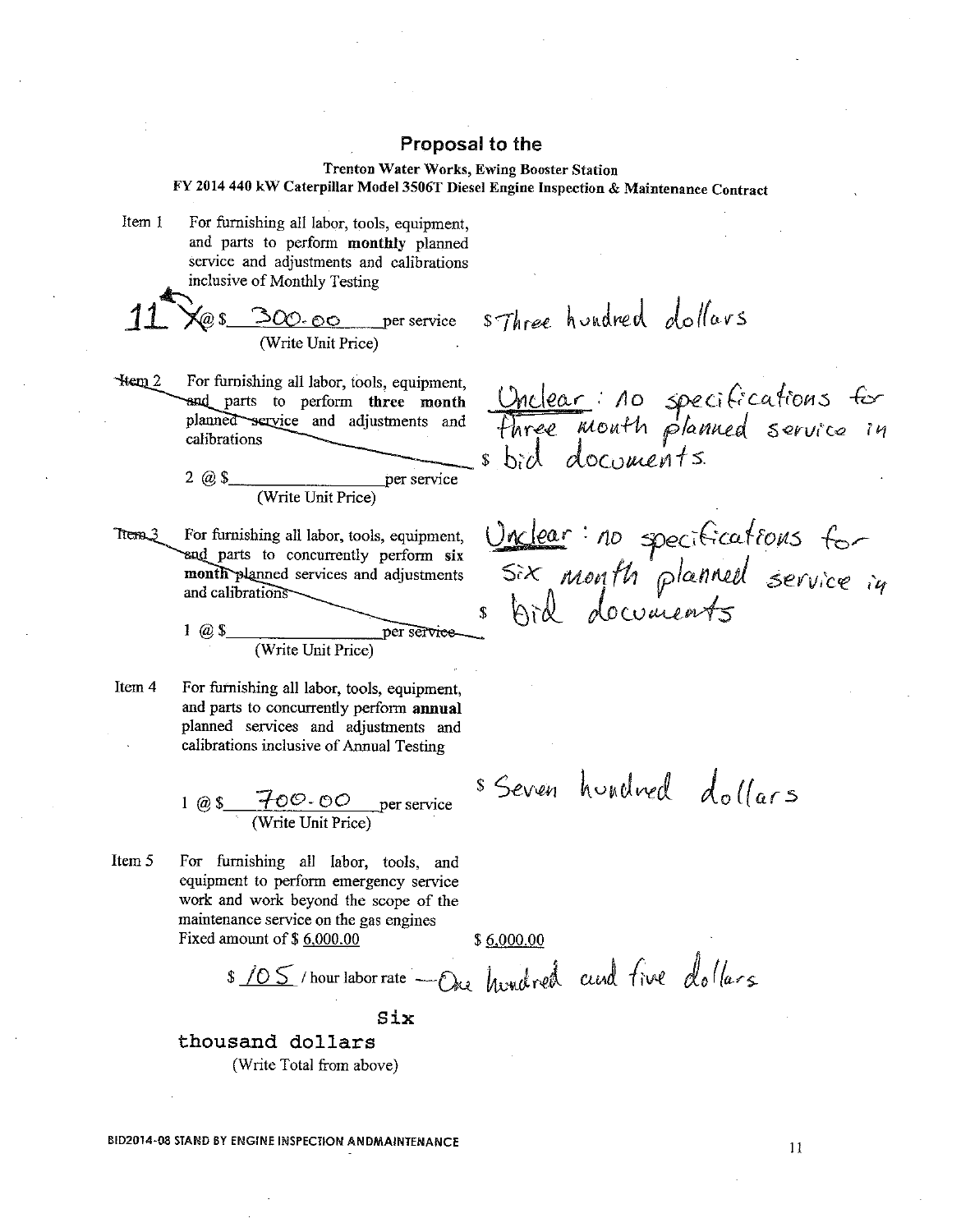#### **Trenton Water Works, Ewing Booster Station** FY 2014 440 kW Caterpillar Model 3506T Diesel Engine Inspection & Maintenance Contract

For furnishing all labor, tools, equipment, Item 1 and parts to perform monthly planned service and adjustments and calibrations

inclusive of Monthly Testing

 $\langle a \rangle$  300. oo per service

s-Three hundred dollars

Hem 2 For furnishing all labor, tools, equipment, and parts to perform three month planned service and adjustments and calibrations

per service  $2 \omega s$ (Write Unit Price)

Trem<sub>3</sub> For furnishing all labor, tools, equipment, end parts to concurrently perform six month planned services and adjustments and calibrations

> $1 \omega s$ per service (Write Unit Price)

Item 4 For furnishing all labor, tools, equipment, and parts to concurrently perform annual planned services and adjustments and calibrations inclusive of Annual Testing

1 @  $\frac{1}{\sqrt{100}}$   $\frac{1}{\sqrt{100}}$   $\frac{1}{\sqrt{100}}$   $\frac{1}{\sqrt{100}}$   $\frac{1}{\sqrt{100}}$   $\frac{1}{\sqrt{100}}$   $\frac{1}{\sqrt{100}}$   $\frac{1}{\sqrt{100}}$   $\frac{1}{\sqrt{100}}$   $\frac{1}{\sqrt{100}}$   $\frac{1}{\sqrt{100}}$   $\frac{1}{\sqrt{100}}$   $\frac{1}{\sqrt{100}}$   $\frac{1}{\sqrt{100}}$   $\frac{1}{\$ 

Item 5 For furnishing all labor, tools, and equipment to perform emergency service work and work beyond the scope of the maintenance service on the gas engines Fixed amount of \$6,000.00

 $$6,000.00$ 

\$ 105 / hour labor rate - One hundred and five dollars

Six

thousand dollars (Write Total from above)

BID2014-08 STAND BY ENGINE INSPECTION ANDMAINTENANCE

Unclear: 10 specifications for<br>Three month planned service in

Unclear: no specifications for<br>Six month planned service in

s Seven hundred dollars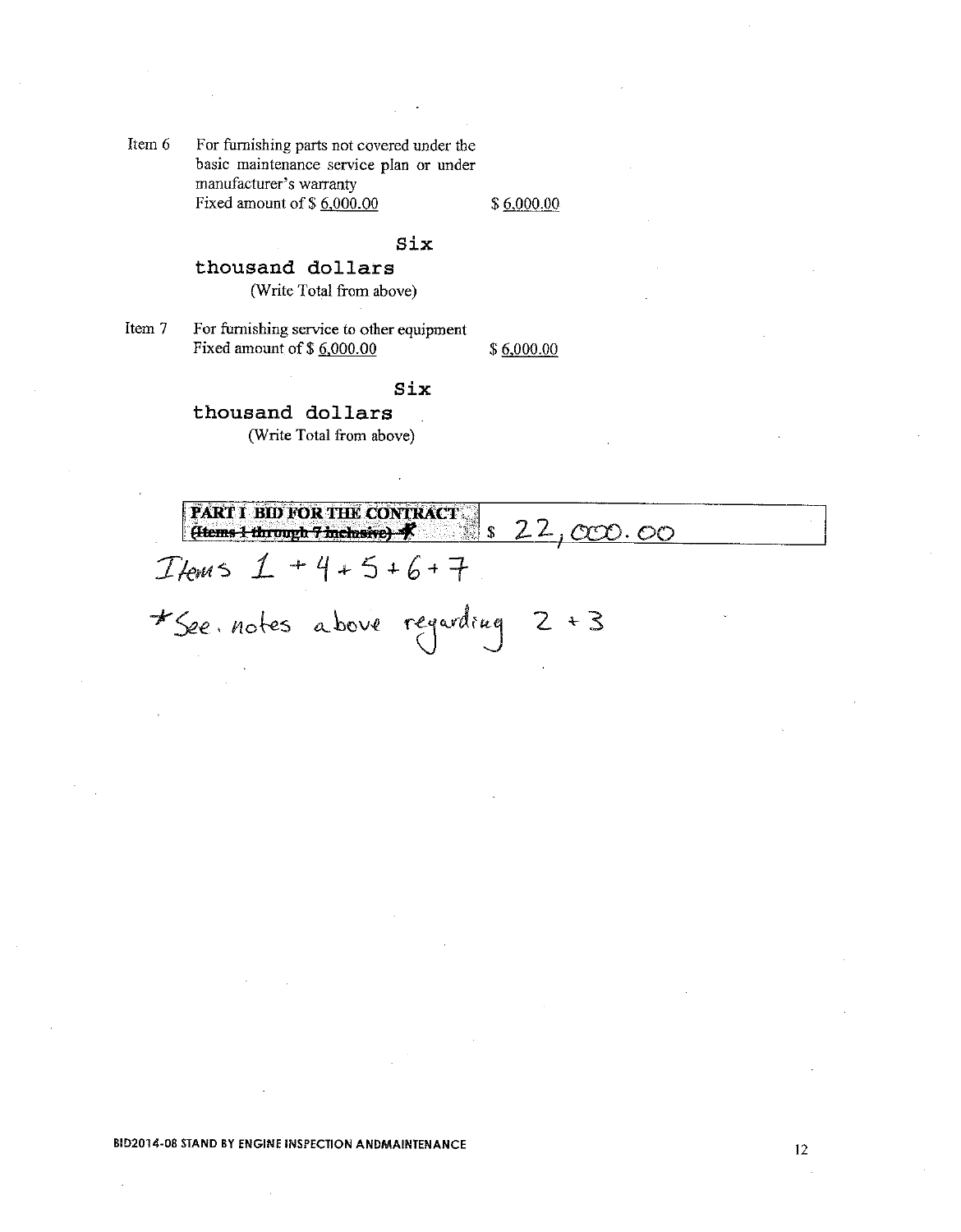Item 6 For furnishing parts not covered under the basic maintenance service plan or under manufacturer's warranty Fixed amount of \$6,000.00

 $$6,000.00$ 

## Six

## thousand dollars (Write Total from above)

Item 7 For furnishing service to other equipment Fixed amount of \$6,000.00 \$6,000.00

### Six

thousand dollars (Write Total from above)

**FART I BID FOR THE CONTRACT** <u>822,000.00</u>  $\left($  (Hems 1 through 7 inclusive)  $\mathcal{N}$ 

 $I$  /ems  $1 + 4 + 5 + 6 + 7$ 

\*See notes above regarding 2 + 3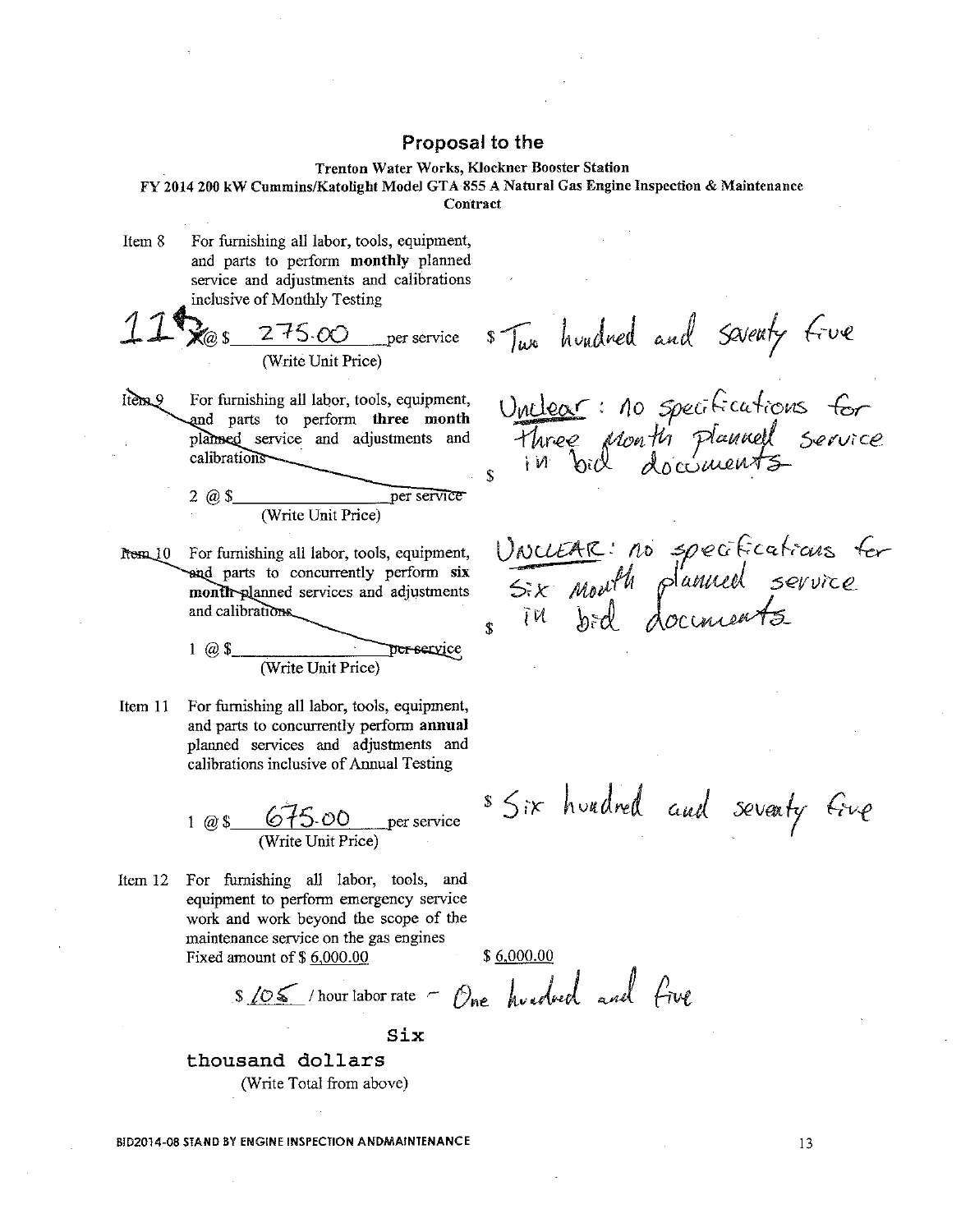#### Trenton Water Works, Klockner Booster Station

FY 2014 200 kW Cummins/Katolight Model GTA 855 A Natural Gas Engine Inspection & Maintenance Contract

Item 8 For furnishing all labor, tools, equipment, and parts to perform monthly planned service and adjustments and calibrations inclusive of Monthly Testing

$$
11\% \underset{\text{(Write Unit Price)}}{275.00}
$$

 $Itens.9$ For furnishing all labor, tools, equipment, and parts to perform three month planned service and adjustments and calibrations

2 
$$
Q
$$
 \$

rem 10 For furnishing all labor, tools, equipment, and parts to concurrently perform six month-planned services and adjustments and calibrations.

$$
1 \t@ 1
$$

Item  $11$ For furnishing all labor, tools, equipment, and parts to concurrently perform annual planned services and adjustments and calibrations inclusive of Annual Testing

1 @ 
$$
\frac{675.00}{(Write Unit Price)}
$$
 per service

Item 12 For furnishing all labor, tools, and equipment to perform emergency service work and work beyond the scope of the maintenance service on the gas engines Fixed amount of  $$6,000.00$ 

 $$6,000.00$ 

\$ 105 / hour labor rate - One hundred and five

Six

thousand dollars (Write Total from above)

BID2014-08 STAND BY ENGINE INSPECTION ANDMAINTENANCE

s Two hundred and saventy five

Unclear: no specifications for<br>Three Month plannell service  $\hat{\mathbf{x}}$ 

Uncuente: no specifications for<br>Six mouth planned service

\$ Six hundred and seventy Give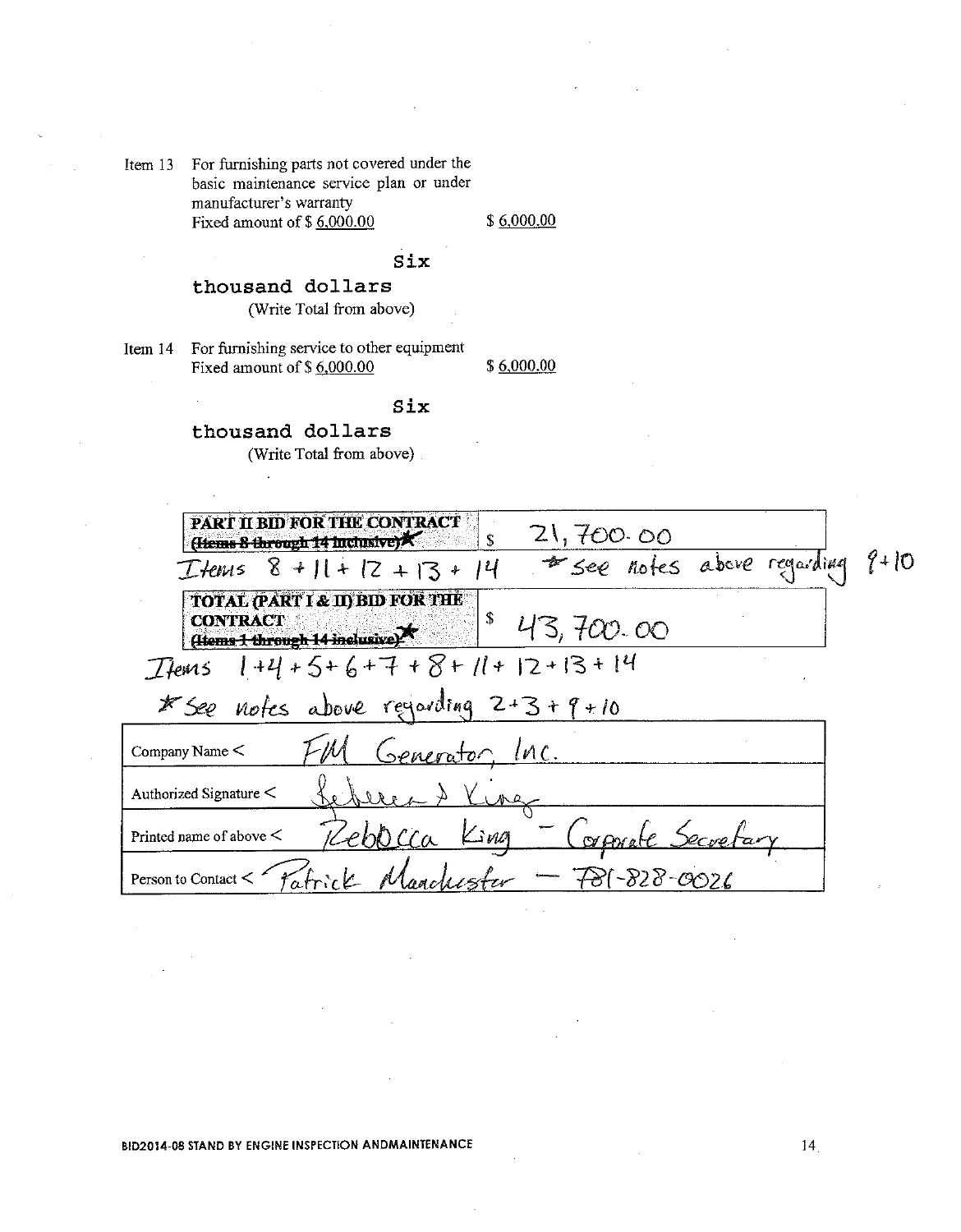Item 13 For furnishing parts not covered under the basic maintenance service plan or under manufacturer's warranty Fixed amount of  $$6,000.00$ 

 $$6,000.00$ 

## Six

Six

## thousand dollars

(Write Total from above)

Item 14 For furnishing service to other equipment Fixed amount of \$6,000.00

\$6,000.00

thousand dollars (Write Total from above).

| <b>PART II BID FOR THE CONTRACT</b><br>21,700.00<br>Hems 8 through 14 Inclusive)                            |  |
|-------------------------------------------------------------------------------------------------------------|--|
| * see notes above regarding 9+10<br>Ttems $8 + 11 + 12 + 13 + 14$                                           |  |
| <b>TOTAL (PART I &amp; II) BID FOR THE</b><br><b>CONTRACT</b><br>43,700.00<br>(Homs 1 through 14 inclusive) |  |
| $1+4+5+6+7+8+11+12+13+14$<br>L'Iems                                                                         |  |
| * See notes above regarding 2+3+9+10                                                                        |  |
| Generator, Inc.<br>Company Name <                                                                           |  |
| Authorized Signature <<br>ure                                                                               |  |
| $\mathcal{L}$ ing<br>$($ or Arra<br>Printed name of above $\leq$                                            |  |
| $-78(-828 - 0026$<br>Person to Contact <                                                                    |  |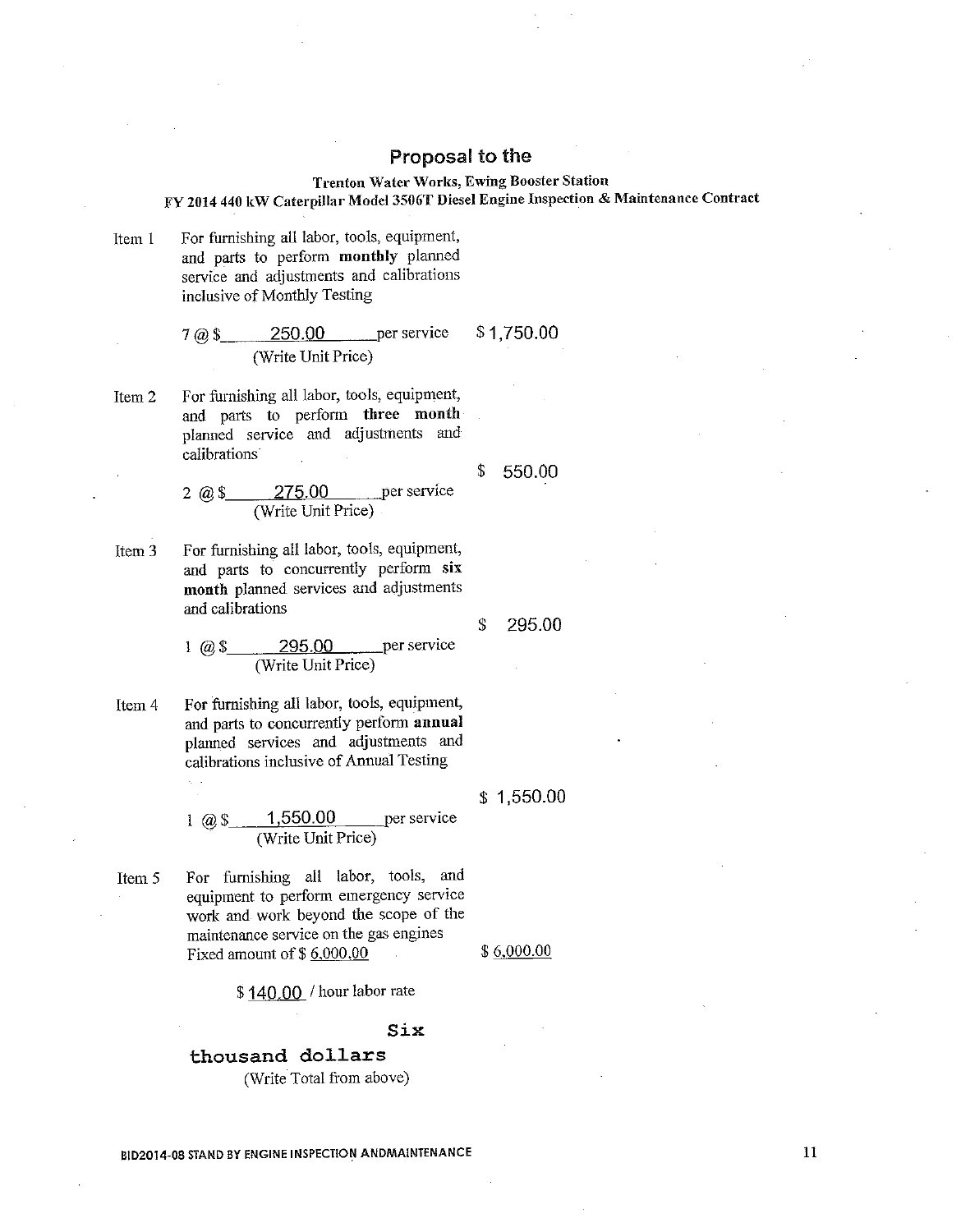#### Trenton Water Works, Ewing Booster Station FY 2014 440 kW Caterpillar Model 3506T Diesel Engine Inspection & Maintenance Contract

For furnishing all labor, tools, equipment, Item 1 and parts to perform monthly planned service and adjustments and calibrations inclusive of Monthly Testing

> 250.00 per service \$1,750.00  $7\omega$  \$ (Write Unit Price)

For furnishing all labor, tools, equipment, Item<sub>2</sub> and parts to perform three month planned service and adjustments and calibrations

> \$ 550.00

> > 295.00

\$

per service  $2 \times 3$ 275.00 (Write Unit Price)

For furnishing all labor, tools, equipment, Item<sub>3</sub> and parts to concurrently perform six month planned services and adjustments and calibrations

> per service  $1 \omega 3$ 295.00 (Write Unit Price)

For furnishing all labor, tools, equipment, Item 4 and parts to concurrently perform annual planned services and adjustments and calibrations inclusive of Annual Testing

> $\frac{1,550.00}{$  (Write Unit Price) per service 1 (a)  $\sqrt{3}$

For furnishing all labor, tools, and Item 5 equipment to perform emergency service work and work beyond the scope of the maintenance service on the gas engines Fixed amount of  $$6,000.00$ 

 $$6,000.00$ 

 $$1,550.00$ 

\$140.00 / hour labor rate

#### Six

thousand dollars (Write Total from above)

**BID2014-08 STAND BY ENGINE INSPECTION ANDMAINTENANCE**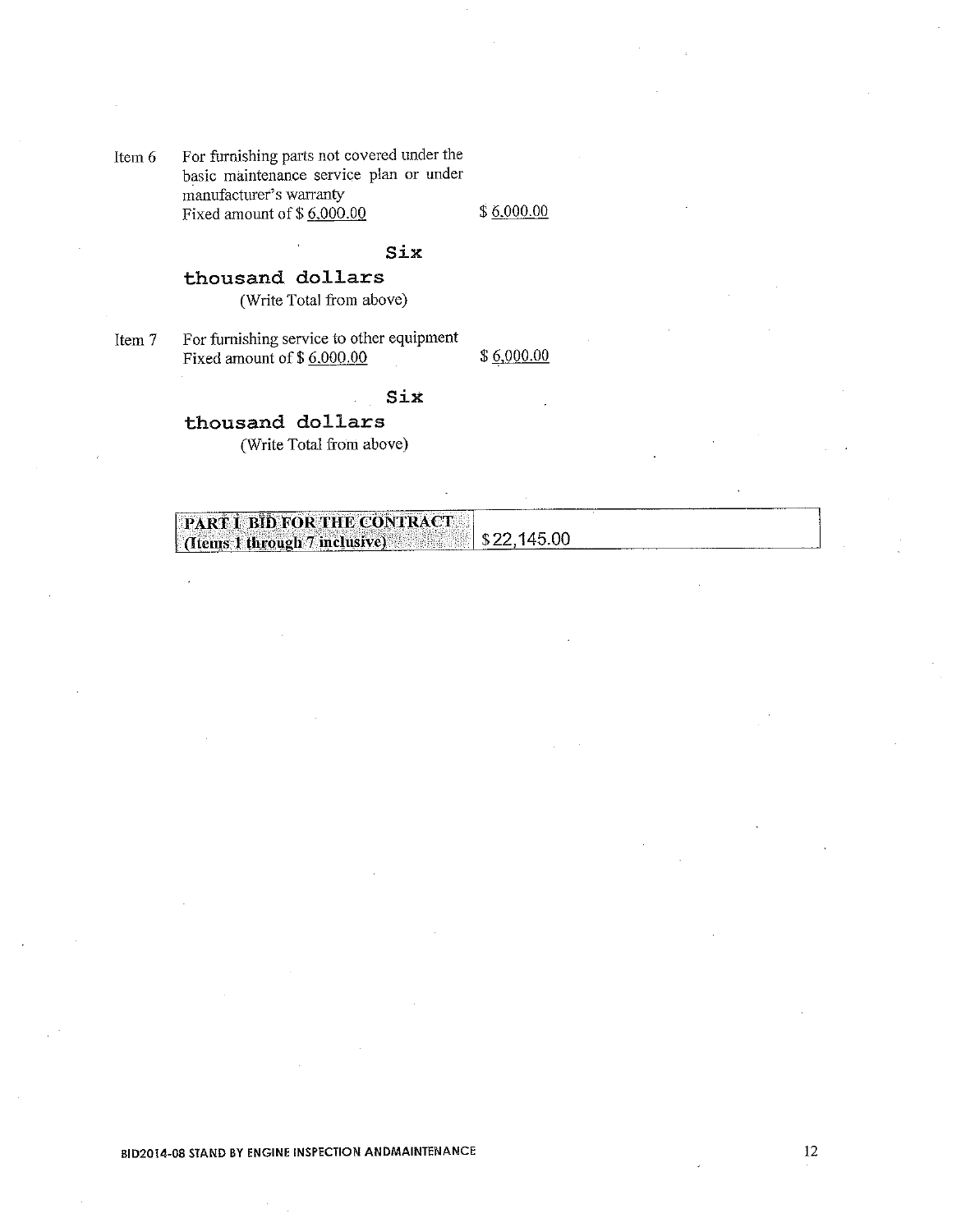For furnishing parts not covered under the Item 6 basic maintenance service plan or under manufacturer's warranty Fixed amount of  $$6,000.00$ 

 $$6,000.00$ 

### Six

## thousand dollars

(Write Total from above)

For furnishing service to other equipment Item 7 Fixed amount of  $$6,000.00$ 

 $$6,000.00$ 

## Six

## thousand dollars (Write Total from above)

| PART I BID FOR THE CONTRACT   |  |
|-------------------------------|--|
|                               |  |
|                               |  |
|                               |  |
| (Items 1 through 7 inclusive) |  |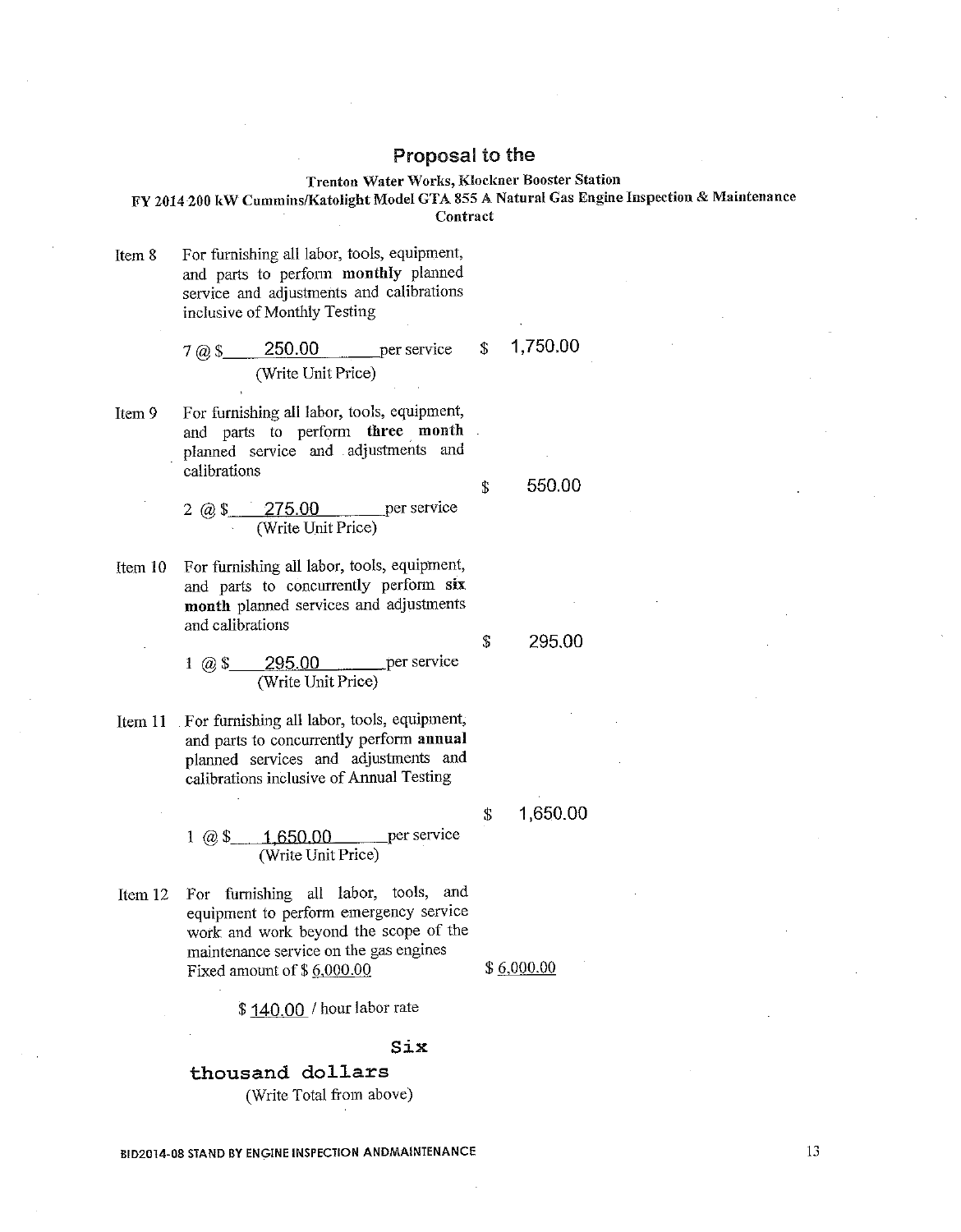#### Trenton Water Works, Klockner Booster Station

FY 2014 200 kW Cummins/Katolight Model GTA 855 A Natural Gas Engine Inspection & Maintenance Contract

For furnishing all labor, tools, equipment, Item 8 and parts to perform monthly planned service and adjustments and calibrations inclusive of Monthly Testing

7 @ 
$$
\$
$$
 250.00 per service  $\$$  1,750.00  
(Write Unit Price)

Item 9 For furnishing all labor, tools, equipment, and parts to perform three month planned service and adjustments and calibrations

> per service  $2 \text{ @ } $ \text{275.00}$ (Write Unit Price)

For furnishing all labor, tools, equipment, Item  $10$ and parts to concurrently perform six month planned services and adjustments and calibrations

> per service  $1 \t@35$ 295.00 (Write Unit Price)

- For furnishing all labor, tools, equipment, Item 11 and parts to concurrently perform annual planned services and adjustments and calibrations inclusive of Annual Testing
	- $1 \omega$ \$ per service <u>1 650.00</u> (Write Unit Price)
- For furnishing all labor, tools, and Item  $12$ equipment to perform emergency service work and work beyond the scope of the maintenance service on the gas engines Fixed amount of \$6,000.00

\$140.00 / hour labor rate

#### Six

thousand dollars (Write Total from above)

**BID2014-08 STAND BY ENGINE INSPECTION ANDMAINTENANCE** 

1,650.00 \$

550.00

295.00

 $\mathbf S$ 

<sup>\$</sup>

 $$6,000.00$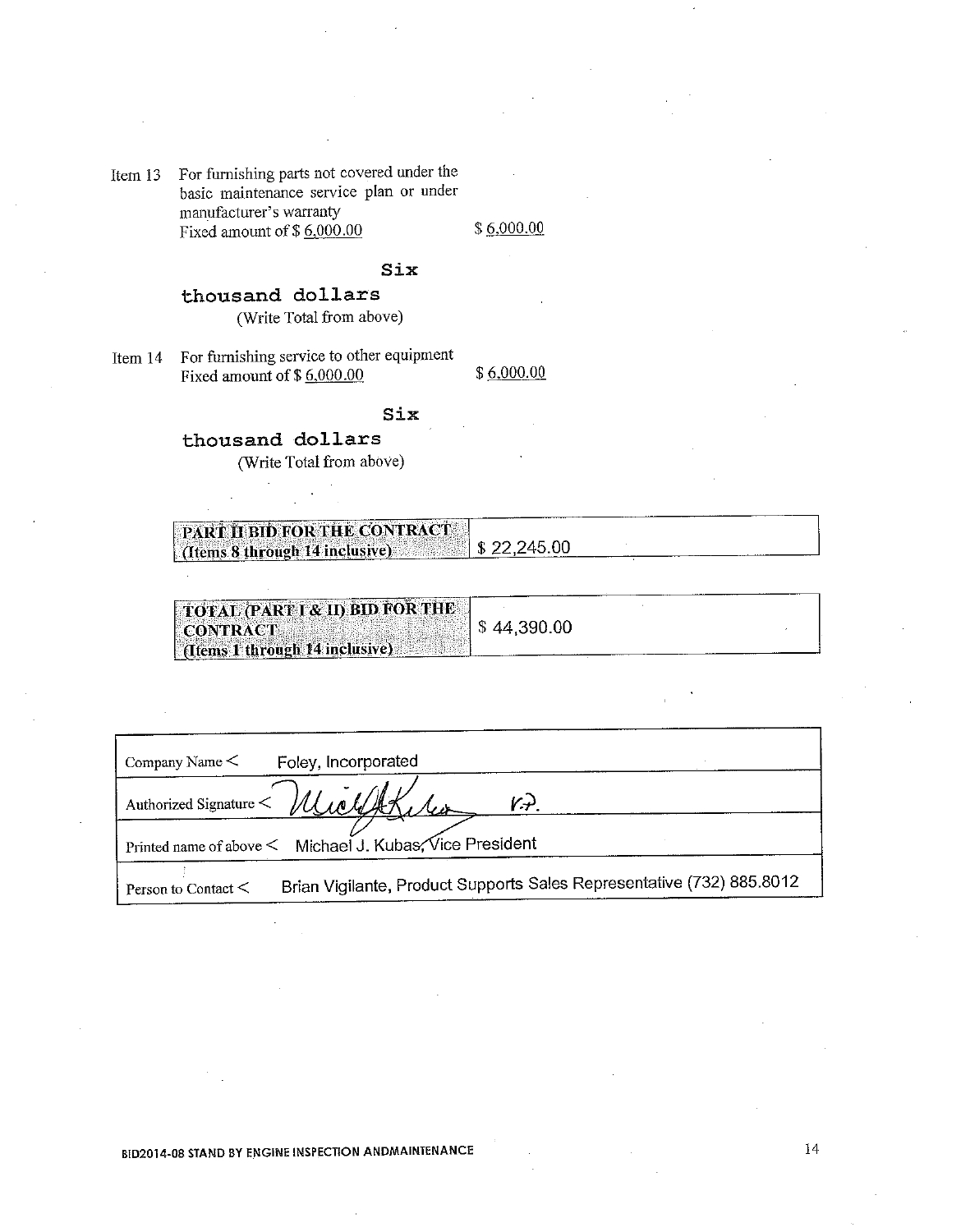Item 13 For furnishing parts not covered under the basic maintenance service plan or under manufacturer's warranty Fixed amount of  $$6,000.00$ 

 $$6,000.00$ 

#### $\texttt{Six}$

# thousand dollars

(Write Total from above)

For furnishing service to other equipment Item 14 Fixed amount of  $$6,000.00$ 

 $$6,000.00$ 

## Six

## thousand dollars

(Write Total from above)

| <b>PART II BID FOR THE CONTRACT</b>                                           |  |  |
|-------------------------------------------------------------------------------|--|--|
|                                                                               |  |  |
|                                                                               |  |  |
|                                                                               |  |  |
|                                                                               |  |  |
|                                                                               |  |  |
|                                                                               |  |  |
|                                                                               |  |  |
|                                                                               |  |  |
|                                                                               |  |  |
|                                                                               |  |  |
|                                                                               |  |  |
|                                                                               |  |  |
|                                                                               |  |  |
| $\left  \right $ (Items 8 through 14 inclusive) $\left  \right $ \$ 22,245.00 |  |  |
|                                                                               |  |  |

| TOTAL (PART I & II) BID FOR THE<br><b>CONTRACT</b><br>[ (Items 1 through 14 inclusive) | \$44,390.00 |  |
|----------------------------------------------------------------------------------------|-------------|--|
|                                                                                        |             |  |

| Foley, Incorporated<br>Company Name $\leq$                                                        |
|---------------------------------------------------------------------------------------------------|
| Authorized Signature Wlichthe<br>K+).                                                             |
| Printed name of above < Michael J. Kubas, Vice President                                          |
| Brian Vigilante, Product Supports Sales Representative (732) 885.8012<br>Person to Contact $\leq$ |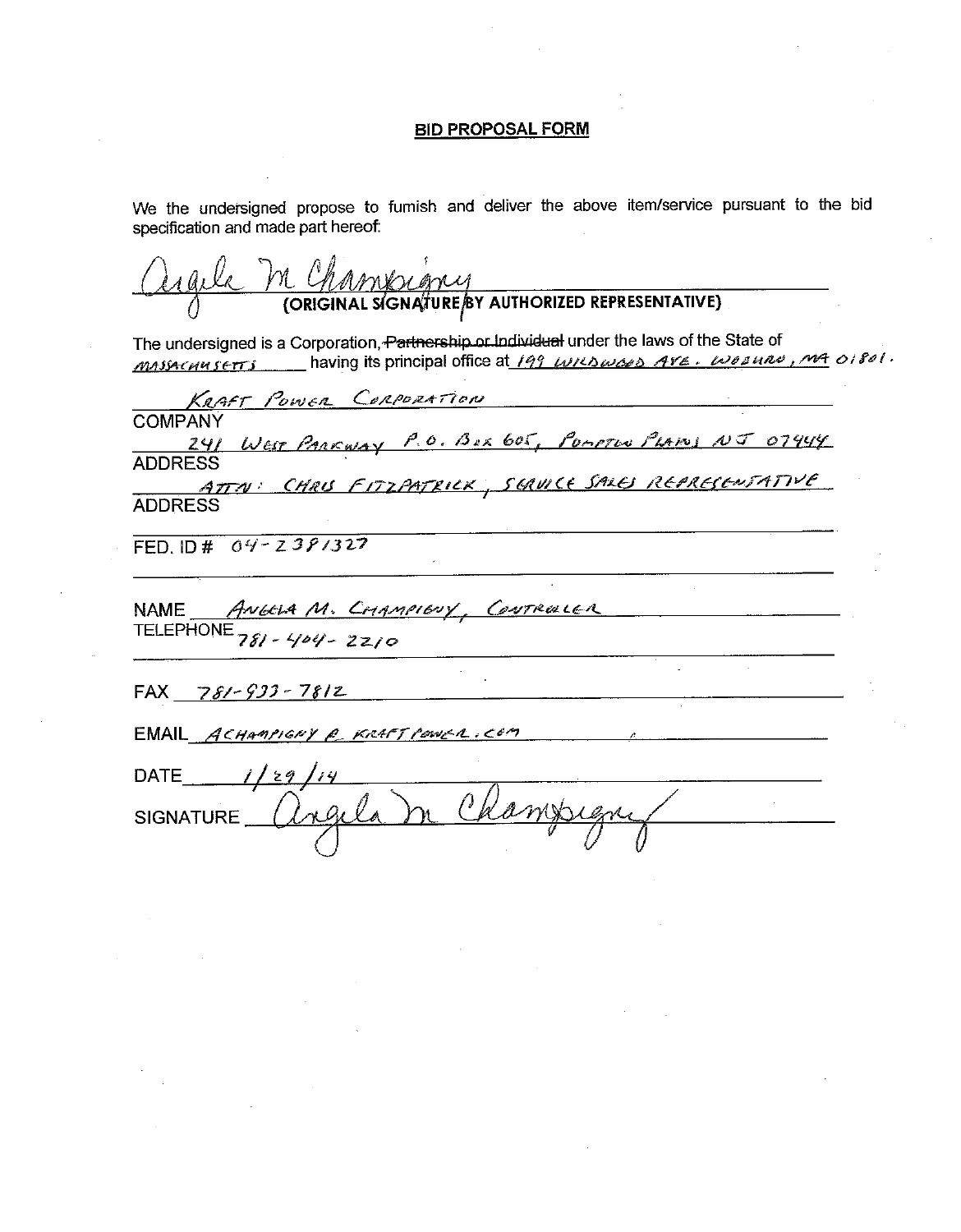#### **BID PROPOSAL FORM**

We the undersigned propose to furnish and deliver the above item/service pursuant to the bid specification and made part hereof:

M CHAMBILANY<br>(ORIGINAL SIGNATURE/BY AUTHORIZED REPRESENTATIVE)

The undersigned is a Corporation, Partnership or Individual under the laws of the State of MASSACHUSETTS having its principal office at 199 WRDWOOD AVE. WOONRO, MA 01801.

KAAFT POWER CORPORATION **COMPANY** 241 West PARKWAY P.O. BOX 605, POMPTON PLAINS NJ 07444 **ADDRESS** ATTN: CHRIS FITZPATRICK, SGRUICE SALES REPRESENTATIVE **ADDRESS** FED. ID#  $04 - 239/327$ NAME ANGELA M. CHAMPIENY, CONTROLLER FAX  $781 - 933 - 7812$ EMAIL ACHAMPIGNY @ KRAFT POWER, COM **DATE**  $1/29$ **SIGNATURE**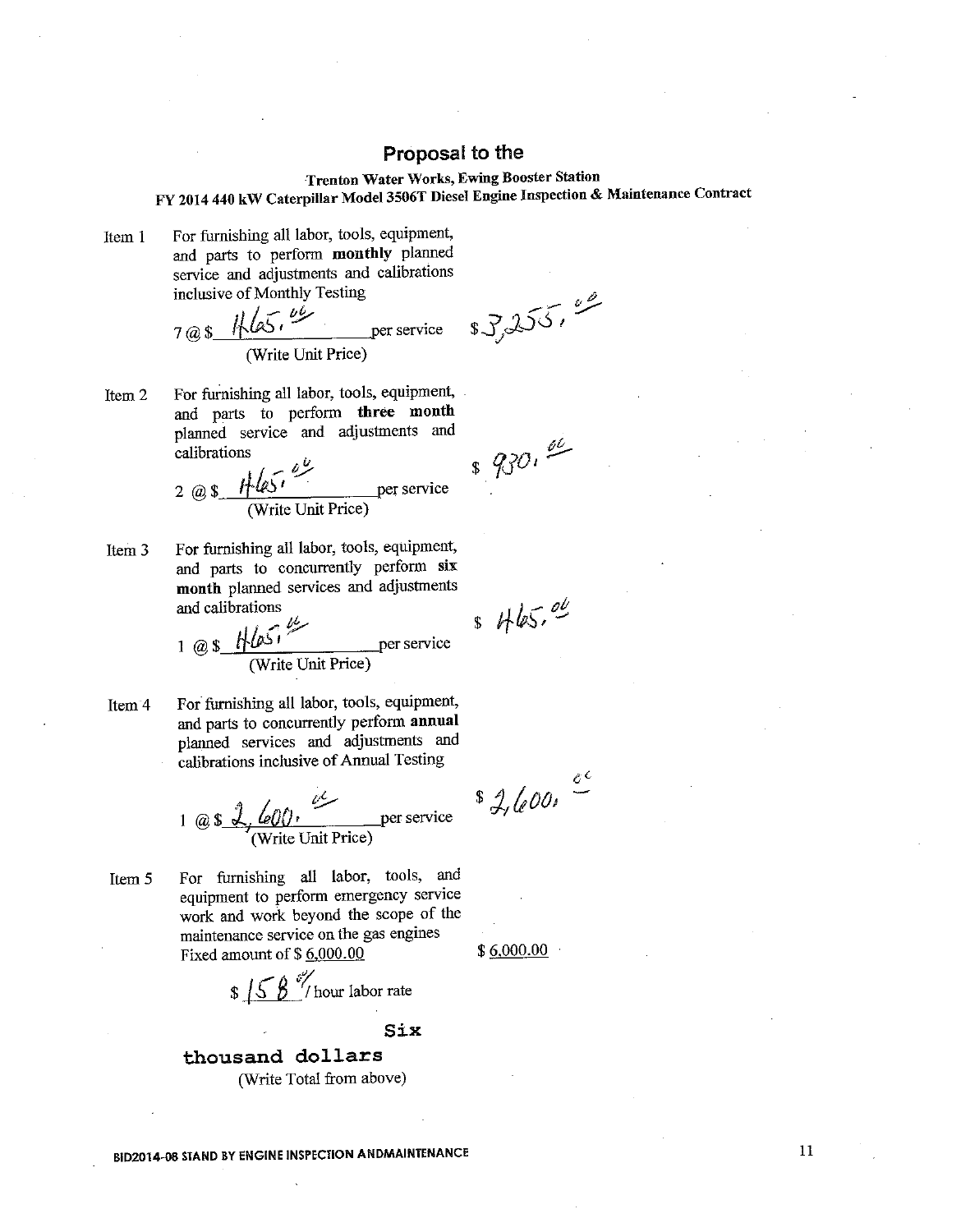## **Trenton Water Works, Ewing Booster Station** FY 2014 440 kW Caterpillar Model 3506T Diesel Engine Inspection & Maintenance Contract

For furnishing all labor, tools, equipment, Item 1 and parts to perform monthly planned service and adjustments and calibrations inclusive of Monthly Testing

7 @ \$ 
$$
\sqrt{\frac{1}{105}}
$$
,  $\frac{66}{105}$  per service  
(Write Unit Price)

For furnishing all labor, tools, equipment, Item<sub>2</sub> and parts to perform three month planned service and adjustments and  $89000$ calibrations

2 @ 
$$
\sqrt[3]{\frac{1}{465}}
$$
  $\frac{69}{2}$  per service  
(Write Unit Price)

For furnishing all labor, tools, equipment, Item<sub>3</sub> and parts to concurrently perform six month planned services and adjustments and calibrations

1 @ 
$$
\frac{\sqrt{2}}{\text{(Write Unit Price)}}
$$
 per service

For furnishing all labor, tools, equipment, Item<sup>4</sup> and parts to concurrently perform annual planned services and adjustments and calibrations inclusive of Annual Testing

1 @ 
$$
\sqrt[3]{\frac{60}{7}}
$$
,  $\frac{6}{7}$  per service  
(Write Unit Price)

For furnishing all labor, tools, and Item 5 equipment to perform emergency service work and work beyond the scope of the maintenance service on the gas engines Fixed amount of \$6,000.00

 $\frac{158}{100}$  M/hour labor rate

Six

thousand dollars (Write Total from above)

**BID2014-08 STAND BY ENGINE INSPECTION ANDMAINTENANCE** 

 $37255.$ 

 $s$  Hbs.  $e^{u}$ 

 $s$  2, 600,  $\frac{c^{c}}{c^{c}}$ 

 $$6,000.00$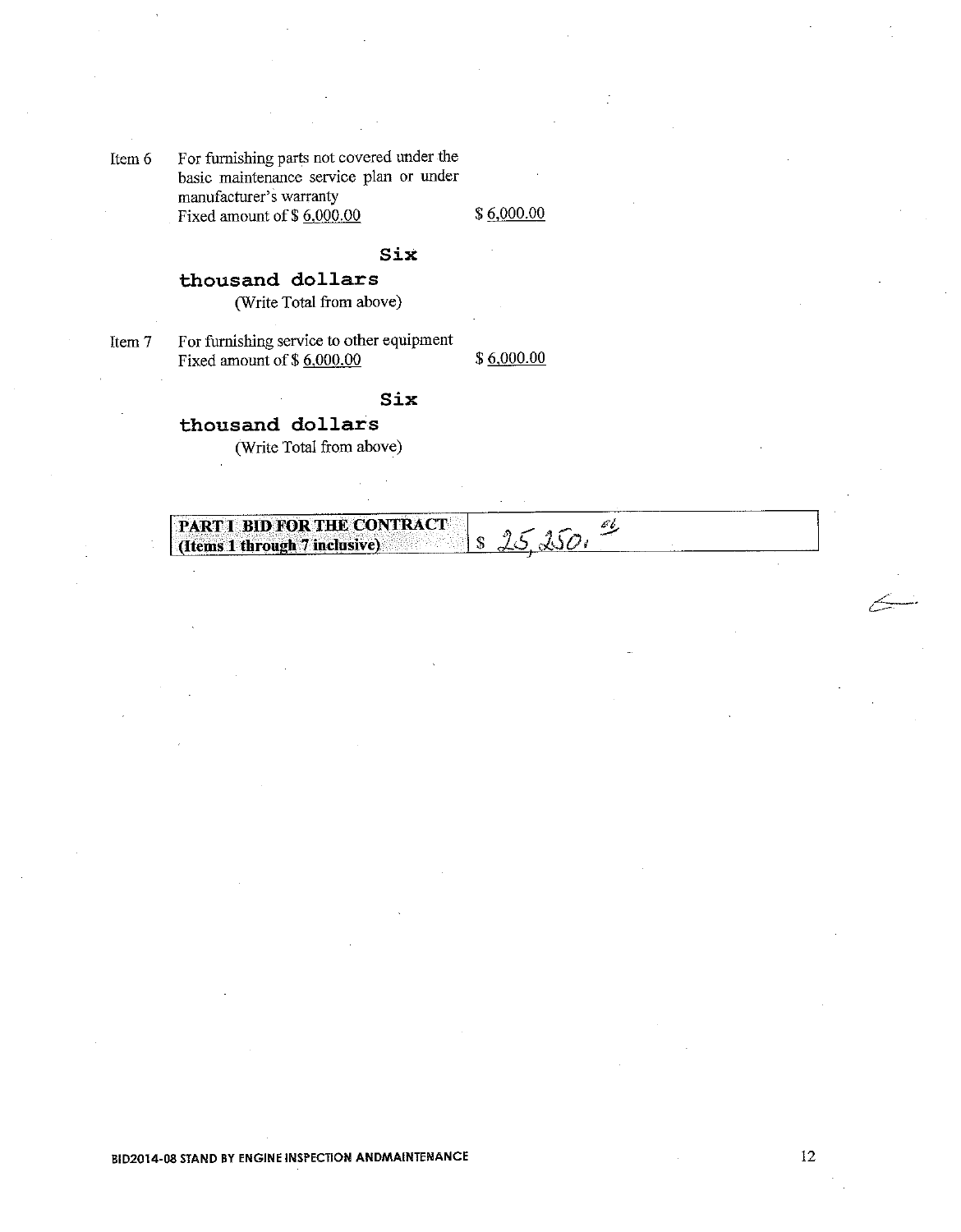For furnishing parts not covered under the Item 6 basic maintenance service plan or under manufacturer's warranty Fixed amount of \$6,000.00

\$6,000.00

#### Six

## thousand dollars

(Write Total from above)

Item 7

For furnishing service to other equipment Fixed amount of  $$6,000,00$ 

 $$6,000.00$ 

## Six

## thousand dollars

(Write Total from above)

 $\frac{152500}{4}$ PART I BID FOR THE CONTRACT (Items 1 through 7 inclusive)

**BID2014-08 STAND BY ENGINE INSPECTION ANDMAINTENANCE**